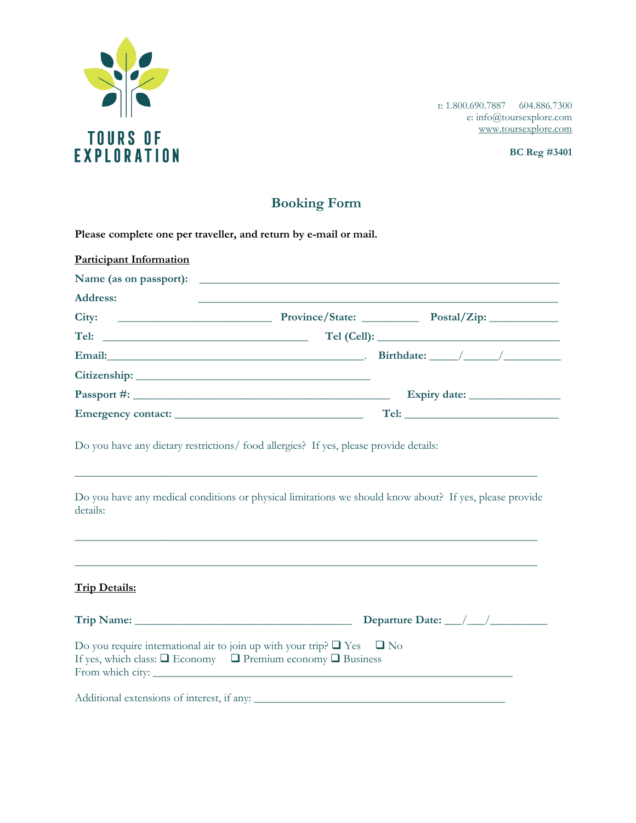

t: 1.800.690.7887 604.886.7300 e: info@toursexplore.com [www.toursexplore.com](http://www.toursexplore.com/)

## **Booking Form**

| Please complete one per traveller, and return by e-mail or mail. |                                                                                                                        |  |  |  |  |
|------------------------------------------------------------------|------------------------------------------------------------------------------------------------------------------------|--|--|--|--|
| <b>Participant Information</b>                                   |                                                                                                                        |  |  |  |  |
|                                                                  |                                                                                                                        |  |  |  |  |
| <b>Address:</b>                                                  | <u> 1980 - Johann Stoff, deutscher Stoffen und der Stoffen und der Stoffen und der Stoffen und der Stoffen und der</u> |  |  |  |  |
|                                                                  |                                                                                                                        |  |  |  |  |
|                                                                  |                                                                                                                        |  |  |  |  |
|                                                                  | Email: $\frac{1}{2}$ Birthdate: $\frac{1}{2}$ Birthdate: $\frac{1}{2}$ Birthdate: $\frac{1}{2}$                        |  |  |  |  |
|                                                                  |                                                                                                                        |  |  |  |  |
|                                                                  | Expiry date:                                                                                                           |  |  |  |  |
|                                                                  |                                                                                                                        |  |  |  |  |

Do you have any dietary restrictions/ food allergies? If yes, please provide details:

Do you have any medical conditions or physical limitations we should know about? If yes, please provide details:

\_\_\_\_\_\_\_\_\_\_\_\_\_\_\_\_\_\_\_\_\_\_\_\_\_\_\_\_\_\_\_\_\_\_\_\_\_\_\_\_\_\_\_\_\_\_\_\_\_\_\_\_\_\_\_\_\_\_\_\_\_\_\_\_\_\_\_\_\_\_\_\_\_\_\_\_\_\_\_\_\_

\_\_\_\_\_\_\_\_\_\_\_\_\_\_\_\_\_\_\_\_\_\_\_\_\_\_\_\_\_\_\_\_\_\_\_\_\_\_\_\_\_\_\_\_\_\_\_\_\_\_\_\_\_\_\_\_\_\_\_\_\_\_\_\_\_\_\_\_\_\_\_\_\_\_\_\_\_\_\_\_\_

\_\_\_\_\_\_\_\_\_\_\_\_\_\_\_\_\_\_\_\_\_\_\_\_\_\_\_\_\_\_\_\_\_\_\_\_\_\_\_\_\_\_\_\_\_\_\_\_\_\_\_\_\_\_\_\_\_\_\_\_\_\_\_\_\_\_\_\_\_\_\_\_\_\_\_\_\_\_\_\_\_

## **Trip Details:**

|                                                                                                                                                                                    | Departure Date: $\_\_\_\_\_\_\_\_\_\_\_\_\_\_\_\_\_\_\_\_\_\_\_\_\_\_\_\_\_\_\_$ |
|------------------------------------------------------------------------------------------------------------------------------------------------------------------------------------|----------------------------------------------------------------------------------|
| Do you require international air to join up with your trip? $\Box$ Yes $\Box$ No<br>If yes, which class: $\Box$ Economy $\Box$ Premium economy $\Box$ Business<br>From which city: |                                                                                  |
| Additional extensions of interest, if any:                                                                                                                                         |                                                                                  |